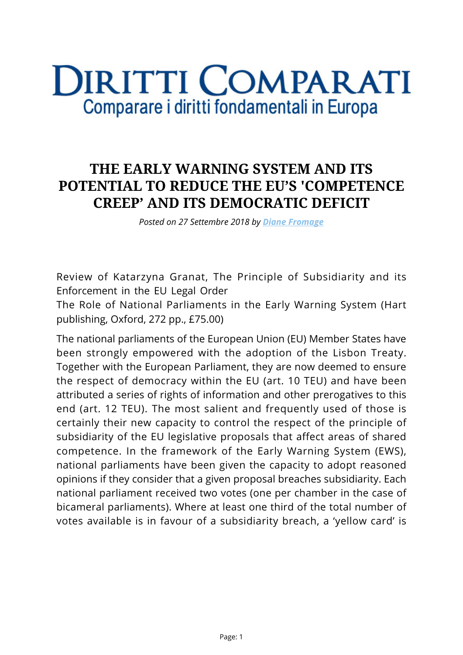## **DIRITTI COMPARATI** Comparare i diritti fondamentali in Europa

## **THE EARLY WARNING SYSTEM AND ITS POTENTIAL TO REDUCE THE EU'S 'COMPETENCE CREEP' AND ITS DEMOCRATIC DEFICIT**

*Posted on 27 Settembre 2018 by [Diane Fromage](https://www.diritticomparati.it/autore/diane-fromage/)*

Review of Katarzyna Granat, The Principle of Subsidiarity and its Enforcement in the EU Legal Order

The Role of National Parliaments in the Early Warning System (Hart publishing, Oxford, 272 pp., £75.00)

The national parliaments of the European Union (EU) Member States have been strongly empowered with the adoption of the Lisbon Treaty. Together with the European Parliament, they are now deemed to ensure the respect of democracy within the EU (art. 10 TEU) and have been attributed a series of rights of information and other prerogatives to this end (art. 12 TEU). The most salient and frequently used of those is certainly their new capacity to control the respect of the principle of subsidiarity of the EU legislative proposals that affect areas of shared competence. In the framework of the Early Warning System (EWS), national parliaments have been given the capacity to adopt reasoned opinions if they consider that a given proposal breaches subsidiarity. Each national parliament received two votes (one per chamber in the case of bicameral parliaments). Where at least one third of the total number of votes available is in favour of a subsidiarity breach, a 'yellow card' is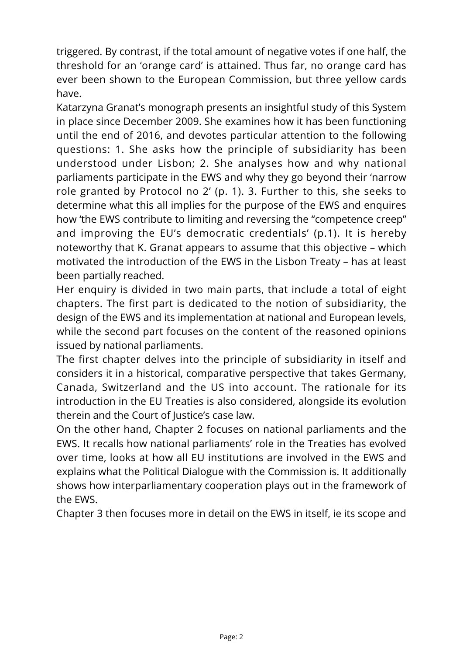triggered. By contrast, if the total amount of negative votes if one half, the threshold for an 'orange card' is attained. Thus far, no orange card has ever been shown to the European Commission, but three yellow cards have.

Katarzyna Granat's monograph presents an insightful study of this System in place since December 2009. She examines how it has been functioning until the end of 2016, and devotes particular attention to the following questions: 1. She asks how the principle of subsidiarity has been understood under Lisbon; 2. She analyses how and why national parliaments participate in the EWS and why they go beyond their 'narrow role granted by Protocol no 2' (p. 1). 3. Further to this, she seeks to determine what this all implies for the purpose of the EWS and enquires how 'the EWS contribute to limiting and reversing the "competence creep" and improving the EU's democratic credentials' (p.1). It is hereby noteworthy that K. Granat appears to assume that this objective – which motivated the introduction of the EWS in the Lisbon Treaty – has at least been partially reached.

Her enquiry is divided in two main parts, that include a total of eight chapters. The first part is dedicated to the notion of subsidiarity, the design of the EWS and its implementation at national and European levels, while the second part focuses on the content of the reasoned opinions issued by national parliaments.

The first chapter delves into the principle of subsidiarity in itself and considers it in a historical, comparative perspective that takes Germany, Canada, Switzerland and the US into account. The rationale for its introduction in the EU Treaties is also considered, alongside its evolution therein and the Court of Justice's case law.

On the other hand, Chapter 2 focuses on national parliaments and the EWS. It recalls how national parliaments' role in the Treaties has evolved over time, looks at how all EU institutions are involved in the EWS and explains what the Political Dialogue with the Commission is. It additionally shows how interparliamentary cooperation plays out in the framework of the EWS.

Chapter 3 then focuses more in detail on the EWS in itself, ie its scope and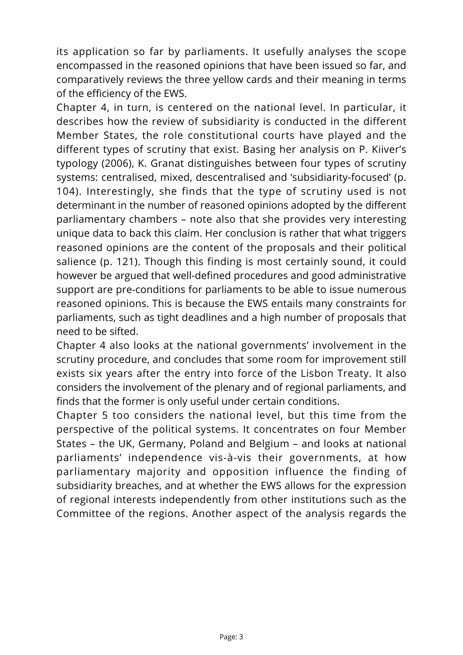its application so far by parliaments. It usefully analyses the scope encompassed in the reasoned opinions that have been issued so far, and comparatively reviews the three yellow cards and their meaning in terms of the efficiency of the EWS.

Chapter 4, in turn, is centered on the national level. In particular, it describes how the review of subsidiarity is conducted in the different Member States, the role constitutional courts have played and the different types of scrutiny that exist. Basing her analysis on P. Kiiver's typology (2006), K. Granat distinguishes between four types of scrutiny systems: centralised, mixed, descentralised and 'subsidiarity-focused' (p. 104). Interestingly, she finds that the type of scrutiny used is not determinant in the number of reasoned opinions adopted by the different parliamentary chambers – note also that she provides very interesting unique data to back this claim. Her conclusion is rather that what triggers reasoned opinions are the content of the proposals and their political salience (p. 121). Though this finding is most certainly sound, it could however be argued that well-defined procedures and good administrative support are pre-conditions for parliaments to be able to issue numerous reasoned opinions. This is because the EWS entails many constraints for parliaments, such as tight deadlines and a high number of proposals that need to be sifted.

Chapter 4 also looks at the national governments' involvement in the scrutiny procedure, and concludes that some room for improvement still exists six years after the entry into force of the Lisbon Treaty. It also considers the involvement of the plenary and of regional parliaments, and finds that the former is only useful under certain conditions.

Chapter 5 too considers the national level, but this time from the perspective of the political systems. It concentrates on four Member States – the UK, Germany, Poland and Belgium – and looks at national parliaments' independence vis-à-vis their governments, at how parliamentary majority and opposition influence the finding of subsidiarity breaches, and at whether the EWS allows for the expression of regional interests independently from other institutions such as the Committee of the regions. Another aspect of the analysis regards the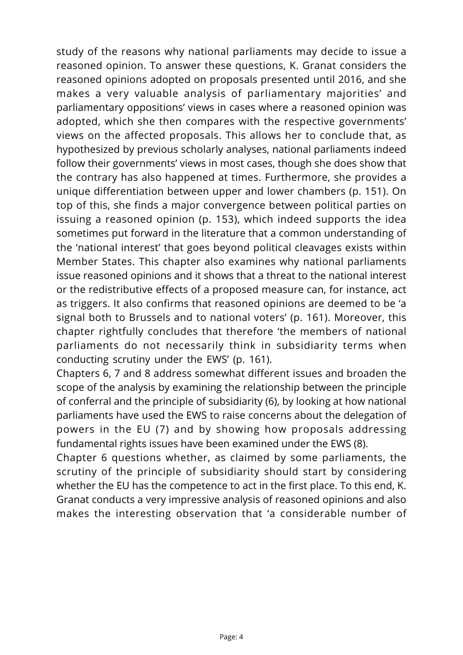study of the reasons why national parliaments may decide to issue a reasoned opinion. To answer these questions, K. Granat considers the reasoned opinions adopted on proposals presented until 2016, and she makes a very valuable analysis of parliamentary majorities' and parliamentary oppositions' views in cases where a reasoned opinion was adopted, which she then compares with the respective governments' views on the affected proposals. This allows her to conclude that, as hypothesized by previous scholarly analyses, national parliaments indeed follow their governments' views in most cases, though she does show that the contrary has also happened at times. Furthermore, she provides a unique differentiation between upper and lower chambers (p. 151). On top of this, she finds a major convergence between political parties on issuing a reasoned opinion (p. 153), which indeed supports the idea sometimes put forward in the literature that a common understanding of the 'national interest' that goes beyond political cleavages exists within Member States. This chapter also examines why national parliaments issue reasoned opinions and it shows that a threat to the national interest or the redistributive effects of a proposed measure can, for instance, act as triggers. It also confirms that reasoned opinions are deemed to be 'a signal both to Brussels and to national voters' (p. 161). Moreover, this chapter rightfully concludes that therefore 'the members of national parliaments do not necessarily think in subsidiarity terms when conducting scrutiny under the EWS' (p. 161).

Chapters 6, 7 and 8 address somewhat different issues and broaden the scope of the analysis by examining the relationship between the principle of conferral and the principle of subsidiarity (6), by looking at how national parliaments have used the EWS to raise concerns about the delegation of powers in the EU (7) and by showing how proposals addressing fundamental rights issues have been examined under the EWS (8).

Chapter 6 questions whether, as claimed by some parliaments, the scrutiny of the principle of subsidiarity should start by considering whether the EU has the competence to act in the first place. To this end, K. Granat conducts a very impressive analysis of reasoned opinions and also makes the interesting observation that 'a considerable number of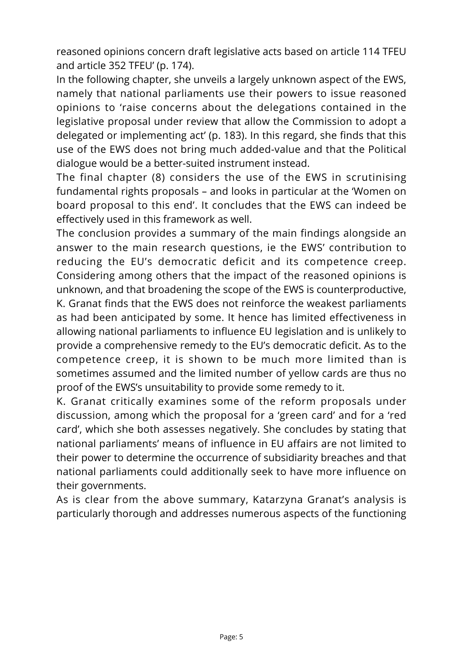reasoned opinions concern draft legislative acts based on article 114 TFEU and article 352 TFEU' (p. 174).

In the following chapter, she unveils a largely unknown aspect of the EWS, namely that national parliaments use their powers to issue reasoned opinions to 'raise concerns about the delegations contained in the legislative proposal under review that allow the Commission to adopt a delegated or implementing act' (p. 183). In this regard, she finds that this use of the EWS does not bring much added-value and that the Political dialogue would be a better-suited instrument instead.

The final chapter (8) considers the use of the EWS in scrutinising fundamental rights proposals – and looks in particular at the 'Women on board proposal to this end'. It concludes that the EWS can indeed be effectively used in this framework as well.

The conclusion provides a summary of the main findings alongside an answer to the main research questions, ie the EWS' contribution to reducing the EU's democratic deficit and its competence creep. Considering among others that the impact of the reasoned opinions is unknown, and that broadening the scope of the EWS is counterproductive, K. Granat finds that the EWS does not reinforce the weakest parliaments as had been anticipated by some. It hence has limited effectiveness in allowing national parliaments to influence EU legislation and is unlikely to provide a comprehensive remedy to the EU's democratic deficit. As to the competence creep, it is shown to be much more limited than is sometimes assumed and the limited number of yellow cards are thus no proof of the EWS's unsuitability to provide some remedy to it.

K. Granat critically examines some of the reform proposals under discussion, among which the proposal for a 'green card' and for a 'red card', which she both assesses negatively. She concludes by stating that national parliaments' means of influence in EU affairs are not limited to their power to determine the occurrence of subsidiarity breaches and that national parliaments could additionally seek to have more influence on their governments.

As is clear from the above summary, Katarzyna Granat's analysis is particularly thorough and addresses numerous aspects of the functioning